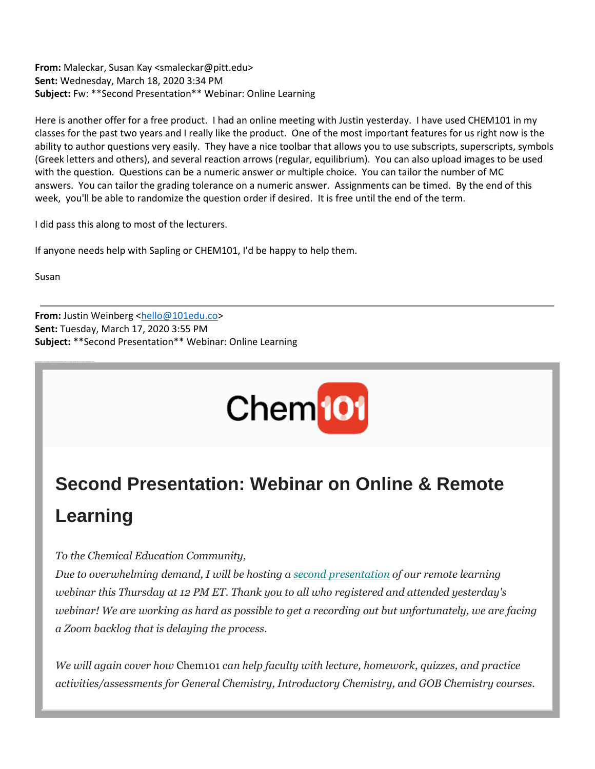**From:** Maleckar, Susan Kay <smaleckar@pitt.edu> **Sent:** Wednesday, March 18, 2020 3:34 PM **Subject:** Fw: \*\*Second Presentation\*\* Webinar: Online Learning

Here is another offer for a free product. I had an online meeting with Justin yesterday. I have used CHEM101 in my classes for the past two years and I really like the product. One of the most important features for us right now is the ability to author questions very easily. They have a nice toolbar that allows you to use subscripts, superscripts, symbols (Greek letters and others), and several reaction arrows (regular, equilibrium). You can also upload images to be used with the question. Questions can be a numeric answer or multiple choice. You can tailor the number of MC answers. You can tailor the grading tolerance on a numeric answer. Assignments can be timed. By the end of this week, you'll be able to randomize the question order if desired. It is free until the end of the term.

I did pass this along to most of the lecturers.

If anyone needs help with Sapling or CHEM101, I'd be happy to help them.

Susan

**From:** Justin Weinberg [<hello@101edu.co>](mailto:hello@101edu.co) **Sent:** Tuesday, March 17, 2020 3:55 PM **Subject:** \*\*Second Presentation\*\* Webinar: Online Learning



## **Second Presentation: Webinar on Online & Remote Learning**

## *To the Chemical Education Community,*

*Due to overwhelming demand, I will be hosting a [second presentation](https://nam05.safelinks.protection.outlook.com/?url=https%3A%2F%2F101edu.us16.list-manage.com%2Ftrack%2Fclick%3Fu%3D4ca9abe3f9481e61ab9490acb%26id%3D18dce57cd9%26e%3Dbbdc851f39&data=02%7C01%7Cjoeg%40pitt.edu%7C8e1693ae283a4c5eb26c08d7cb735a36%7C9ef9f489e0a04eeb87cc3a526112fd0d%7C1%7C0%7C637201568600372846&sdata=Cwz1joSUKVzNIxRX5iymwKQsbYNJl1cF%2Fti2coeXPbQ%3D&reserved=0) of our remote learning webinar this Thursday at 12 PM ET. Thank you to all who registered and attended yesterday's webinar! We are working as hard as possible to get a recording out but unfortunately, we are facing a Zoom backlog that is delaying the process.* 

*We will again cover how* Chem101 *can help faculty with lecture, homework, quizzes, and practice activities/assessments for General Chemistry, Introductory Chemistry, and GOB Chemistry courses.*